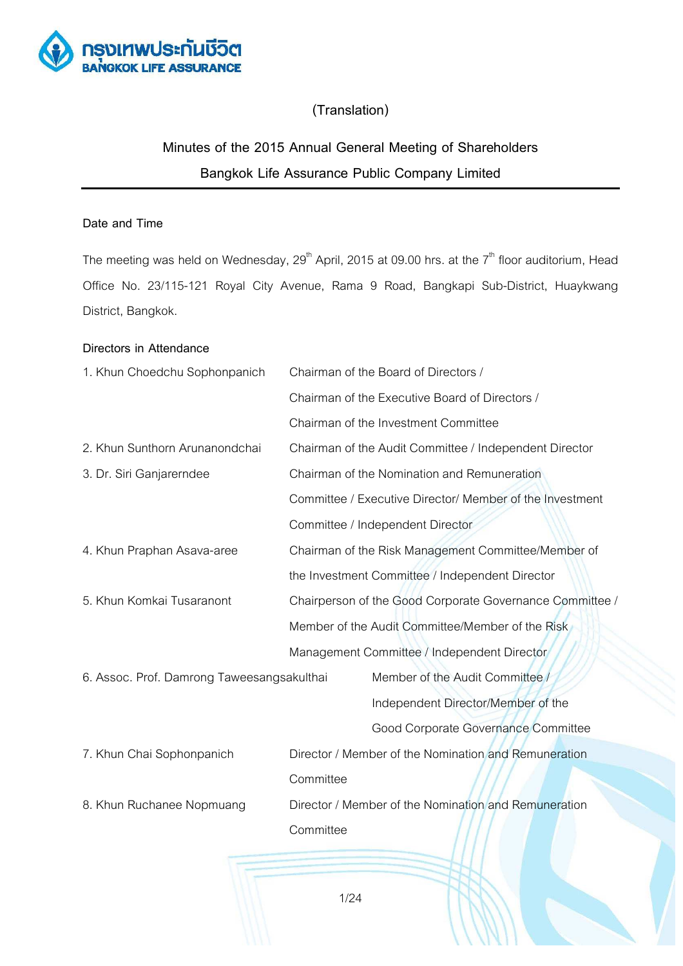

# **(Translation)**

# **Minutes of the 2015 Annual General Meeting of Shareholders Bangkok Life Assurance Public Company Limited**

## **Date and Time**

The meeting was held on Wednesday,  $29<sup>th</sup>$  April, 2015 at 09.00 hrs. at the  $7<sup>th</sup>$  floor auditorium, Head Office No. 23/115-121 Royal City Avenue, Rama 9 Road, Bangkapi Sub-District, Huaykwang District, Bangkok.

### **Directors in Attendance**

| 1. Khun Choedchu Sophonpanich              | Chairman of the Board of Directors / |                                                          |  |
|--------------------------------------------|--------------------------------------|----------------------------------------------------------|--|
|                                            |                                      | Chairman of the Executive Board of Directors /           |  |
|                                            |                                      | Chairman of the Investment Committee                     |  |
| 2. Khun Sunthorn Arunanondchai             |                                      | Chairman of the Audit Committee / Independent Director   |  |
| 3. Dr. Siri Ganjarerndee                   |                                      | Chairman of the Nomination and Remuneration              |  |
|                                            |                                      | Committee / Executive Director/ Member of the Investment |  |
|                                            |                                      | Committee / Independent Director                         |  |
| 4. Khun Praphan Asava-aree                 |                                      | Chairman of the Risk Management Committee/Member of      |  |
|                                            |                                      | the Investment Committee / Independent Director          |  |
| 5. Khun Komkai Tusaranont                  |                                      | Chairperson of the Good Corporate Governance Committee / |  |
|                                            |                                      | Member of the Audit Committee/Member of the Risk         |  |
|                                            |                                      | Management Committee / Independent Director              |  |
| 6. Assoc. Prof. Damrong Taweesangsakulthai |                                      | Member of the Audit Committee                            |  |
|                                            |                                      | Independent Director/Member of the                       |  |
|                                            |                                      | Good Corporate Governance Committee                      |  |
| 7. Khun Chai Sophonpanich                  |                                      | Director / Member of the Nomination and Remuneration     |  |
|                                            | Committee                            |                                                          |  |
| 8. Khun Ruchanee Nopmuang                  |                                      | Director / Member of the Nomination and Remuneration     |  |
|                                            | Committee                            |                                                          |  |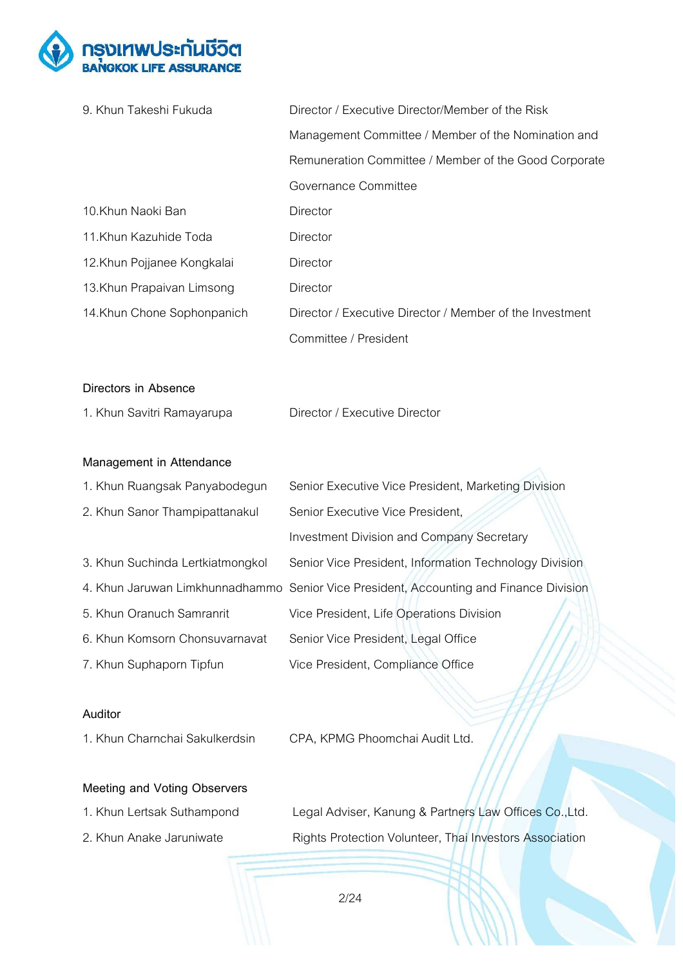

| 9. Khun Takeshi Fukuda           | Director / Executive Director/Member of the Risk         |
|----------------------------------|----------------------------------------------------------|
|                                  | Management Committee / Member of the Nomination and      |
|                                  | Remuneration Committee / Member of the Good Corporate    |
|                                  | Governance Committee                                     |
| 10.Khun Naoki Ban                | Director                                                 |
| 11.Khun Kazuhide Toda            | Director                                                 |
| 12.Khun Pojjanee Kongkalai       | Director                                                 |
| 13. Khun Prapaivan Limsong       | Director                                                 |
| 14. Khun Chone Sophonpanich      | Director / Executive Director / Member of the Investment |
|                                  | Committee / President                                    |
|                                  |                                                          |
| Directors in Absence             |                                                          |
| 1. Khun Savitri Ramayarupa       | Director / Executive Director                            |
|                                  |                                                          |
| Management in Attendance         |                                                          |
| 1. Khun Ruangsak Panyabodegun    | Senior Executive Vice President, Marketing Division      |
| 2. Khun Sanor Thampipattanakul   | Senior Executive Vice President,                         |
|                                  | <b>Investment Division and Company Secretary</b>         |
| 3. Khun Suchinda Lertkiatmongkol | Senior Vice President, Information Technology Division   |

- 4. Khun Jaruwan Limkhunnadhammo Senior Vice President, Accounting and Finance Division
- 5. Khun Oranuch Samranrit Vice President, Life Operations Division
- 6. Khun Komsorn Chonsuvarnavat Senior Vice President, Legal Office
- 7. Khun Suphaporn Tipfun Vice President, Compliance Office

### **Auditor**

- 1. Khun Charnchai Sakulkerdsin CPA, KPMG Phoomchai Audit Ltd.
	-

### **Meeting and Voting Observers**

- 
- 
- 1. Khun Lertsak Suthampond Legal Adviser, Kanung & Partners Law Offices Co.,Ltd. 2. Khun Anake Jaruniwate Rights Protection Volunteer, Thai Investors Association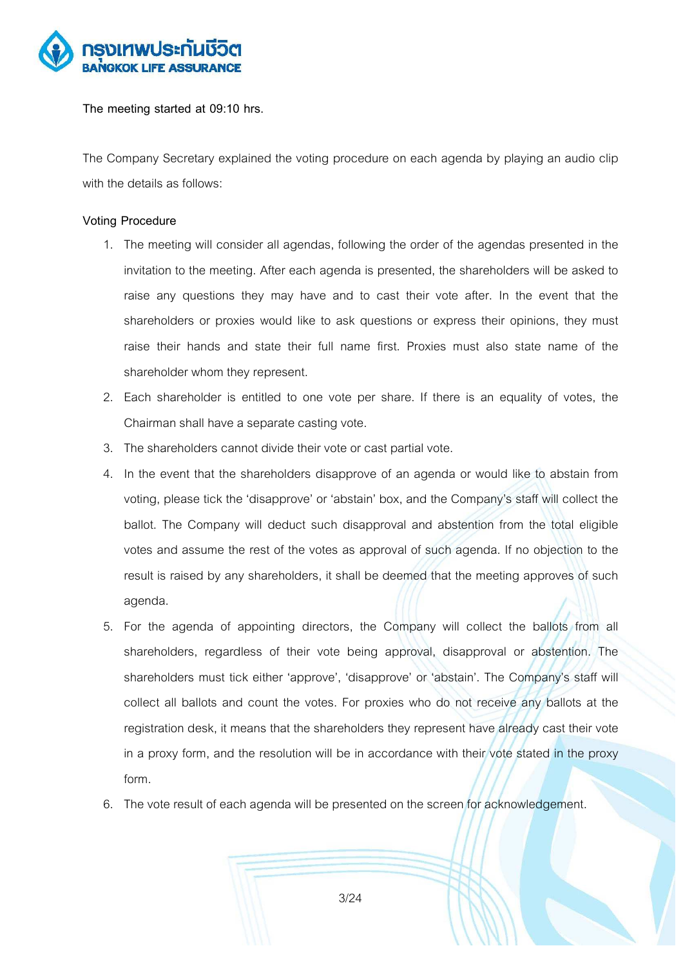

**The meeting started at 09:10 hrs.** 

The Company Secretary explained the voting procedure on each agenda by playing an audio clip with the details as follows:

#### **Voting Procedure**

- 1. The meeting will consider all agendas, following the order of the agendas presented in the invitation to the meeting. After each agenda is presented, the shareholders will be asked to raise any questions they may have and to cast their vote after. In the event that the shareholders or proxies would like to ask questions or express their opinions, they must raise their hands and state their full name first. Proxies must also state name of the shareholder whom they represent.
- 2. Each shareholder is entitled to one vote per share. If there is an equality of votes, the Chairman shall have a separate casting vote.
- 3. The shareholders cannot divide their vote or cast partial vote.
- 4. In the event that the shareholders disapprove of an agenda or would like to abstain from voting, please tick the 'disapprove' or 'abstain' box, and the Company's staff will collect the ballot. The Company will deduct such disapproval and abstention from the total eligible votes and assume the rest of the votes as approval of such agenda. If no objection to the result is raised by any shareholders, it shall be deemed that the meeting approves of such agenda.
- 5. For the agenda of appointing directors, the Company will collect the ballots from all shareholders, regardless of their vote being approval, disapproval or abstention. The shareholders must tick either 'approve', 'disapprove' or 'abstain'. The Company's staff will collect all ballots and count the votes. For proxies who do not receive any ballots at the registration desk, it means that the shareholders they represent have already cast their vote in a proxy form, and the resolution will be in accordance with their vote stated in the proxy form.
- 6. The vote result of each agenda will be presented on the screen for acknowledgement.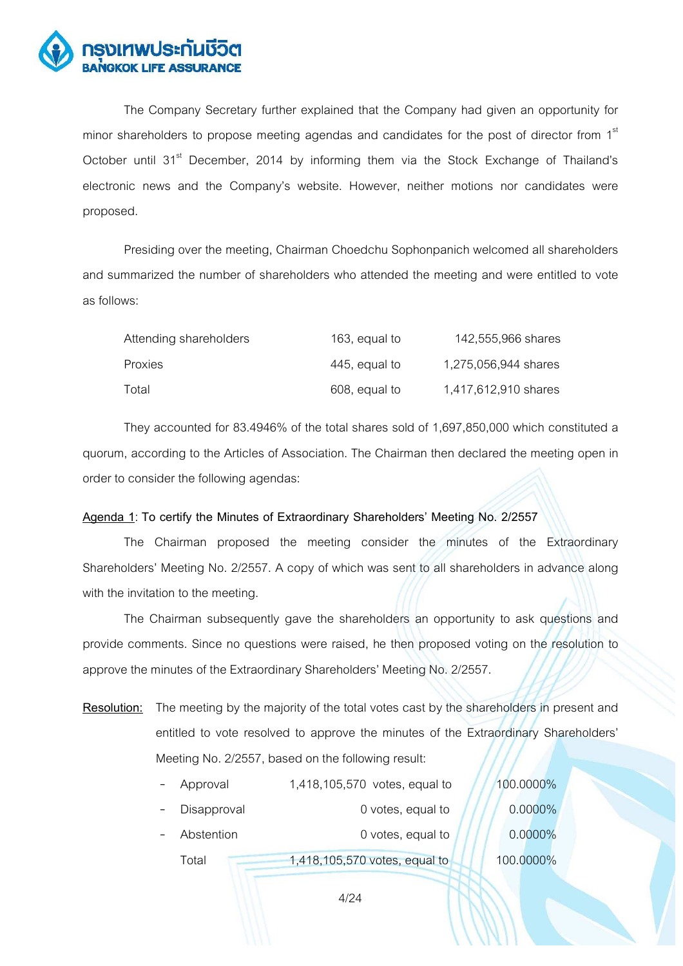

The Company Secretary further explained that the Company had given an opportunity for minor shareholders to propose meeting agendas and candidates for the post of director from  $1<sup>st</sup>$ October until 31<sup>st</sup> December, 2014 by informing them via the Stock Exchange of Thailand's electronic news and the Company's website. However, neither motions nor candidates were proposed.

 Presiding over the meeting, Chairman Choedchu Sophonpanich welcomed all shareholders and summarized the number of shareholders who attended the meeting and were entitled to vote as follows:

| Attending shareholders | 163, equal to | 142,555,966 shares   |
|------------------------|---------------|----------------------|
| <b>Proxies</b>         | 445, equal to | 1.275.056.944 shares |
| Total                  | 608, equal to | 1,417,612,910 shares |

They accounted for 83.4946% of the total shares sold of 1,697,850,000 which constituted a quorum, according to the Articles of Association. The Chairman then declared the meeting open in order to consider the following agendas:

#### Agenda 1: To certify the Minutes of Extraordinary Shareholders' Meeting No. 2/2557

The Chairman proposed the meeting consider the minutes of the Extraordinary Shareholders' Meeting No. 2/2557. A copy of which was sent to all shareholders in advance along with the invitation to the meeting.

The Chairman subsequently gave the shareholders an opportunity to ask questions and provide comments. Since no questions were raised, he then proposed voting on the resolution to approve the minutes of the Extraordinary Shareholders' Meeting No. 2/2557.

**Resolution:** The meeting by the majority of the total votes cast by the shareholders in present and entitled to vote resolved to approve the minutes of the Extraordinary Shareholders' Meeting No. 2/2557, based on the following result:

| Approval    | 1,418,105,570 votes, equal to | 100.0000%  |
|-------------|-------------------------------|------------|
| Disapproval | 0 votes, equal to             | $0.0000\%$ |
| Abstention  | 0 votes, equal to             | 0.0000%    |
| Total       | 1,418,105,570 votes, equal to | 100.0000%  |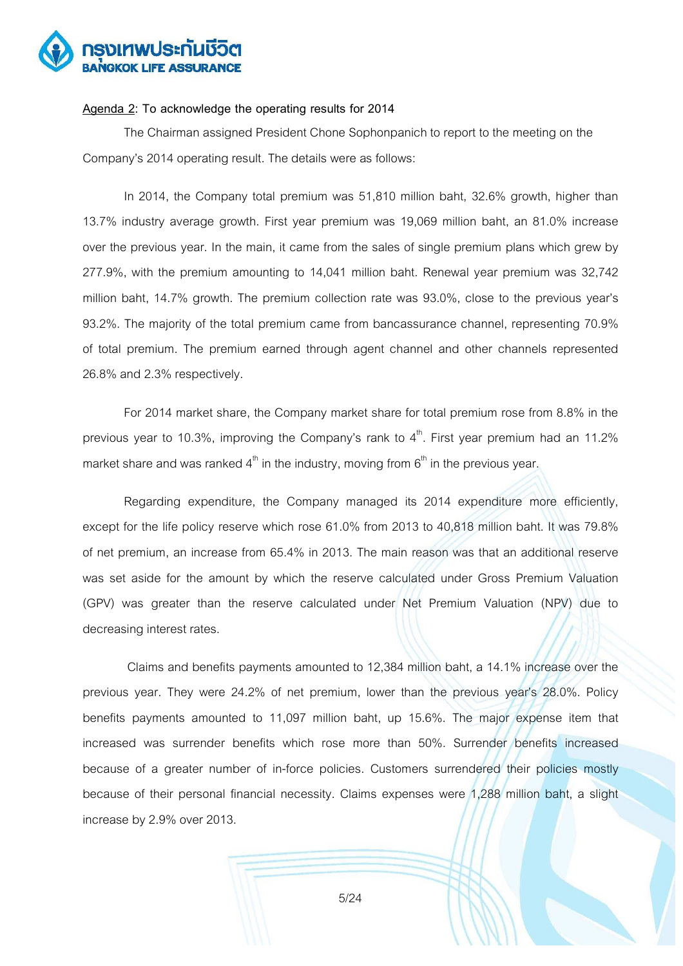

#### **Agenda 2: To acknowledge the operating results for 2014**

The Chairman assigned President Chone Sophonpanich to report to the meeting on the Company's 2014 operating result. The details were as follows:

In 2014, the Company total premium was 51,810 million baht, 32.6% growth, higher than 13.7% industry average growth. First year premium was 19,069 million baht, an 81.0% increase over the previous year. In the main, it came from the sales of single premium plans which grew by 277.9%, with the premium amounting to 14,041 million baht. Renewal year premium was 32,742 million baht, 14.7% growth. The premium collection rate was 93.0%, close to the previous year's 93.2%. The majority of the total premium came from bancassurance channel, representing 70.9% of total premium. The premium earned through agent channel and other channels represented 26.8% and 2.3% respectively.

For 2014 market share, the Company market share for total premium rose from 8.8% in the previous year to 10.3%, improving the Company's rank to  $4<sup>th</sup>$ . First year premium had an 11.2% market share and was ranked  $4<sup>th</sup>$  in the industry, moving from  $6<sup>th</sup>$  in the previous year.

Regarding expenditure, the Company managed its 2014 expenditure more efficiently, except for the life policy reserve which rose 61.0% from 2013 to 40,818 million baht. It was 79.8% of net premium, an increase from 65.4% in 2013. The main reason was that an additional reserve was set aside for the amount by which the reserve calculated under Gross Premium Valuation (GPV) was greater than the reserve calculated under Net Premium Valuation (NPV) due to decreasing interest rates.

 Claims and benefits payments amounted to 12,384 million baht, a 14.1% increase over the previous year. They were  $24.2\%$  of net premium, lower than the previous year's  $28.0\%$ . Policy benefits payments amounted to 11,097 million baht, up 15.6%. The major expense item that increased was surrender benefits which rose more than 50%. Surrender benefits increased because of a greater number of in-force policies. Customers surrendered their policies mostly because of their personal financial necessity. Claims expenses were 1,288 million baht, a slight increase by 2.9% over 2013.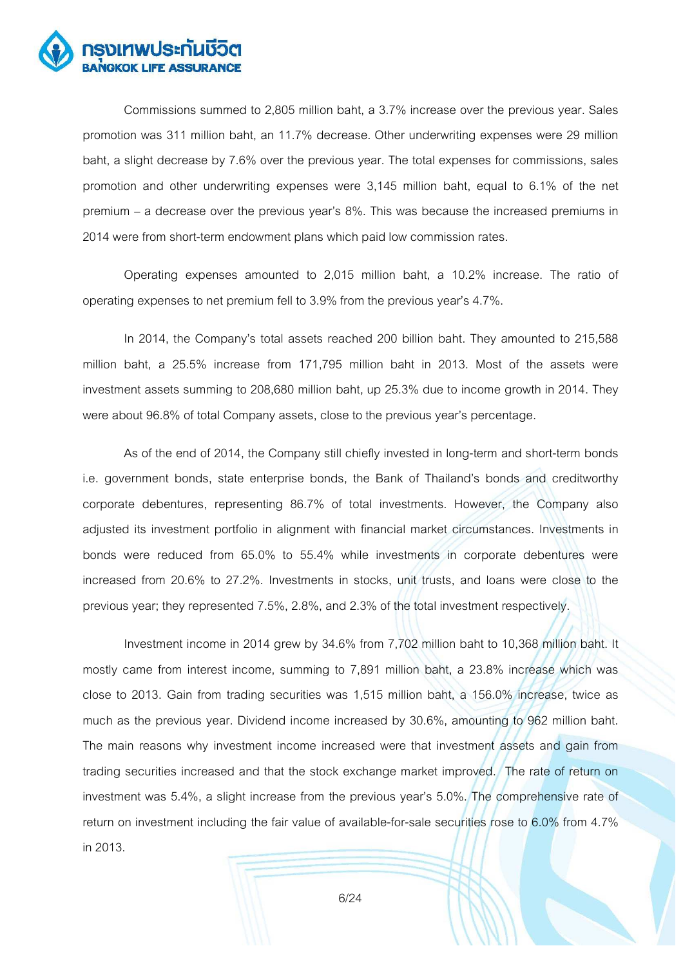

 Commissions summed to 2,805 million baht, a 3.7% increase over the previous year. Sales promotion was 311 million baht, an 11.7% decrease. Other underwriting expenses were 29 million baht, a slight decrease by 7.6% over the previous year. The total expenses for commissions, sales promotion and other underwriting expenses were 3,145 million baht, equal to 6.1% of the net premium  $-$  a decrease over the previous year's  $8\%$ . This was because the increased premiums in 2014 were from short-term endowment plans which paid low commission rates.

 Operating expenses amounted to 2,015 million baht, a 10.2% increase. The ratio of operating expenses to net premium fell to 3.9% from the previous year's 4.7%.

In 2014, the Company's total assets reached 200 billion baht. They amounted to 215,588 million baht, a 25.5% increase from 171,795 million baht in 2013. Most of the assets were investment assets summing to 208,680 million baht, up 25.3% due to income growth in 2014. They were about 96.8% of total Company assets, close to the previous year's percentage.

As of the end of 2014, the Company still chiefly invested in long-term and short-term bonds i.e. government bonds, state enterprise bonds, the Bank of Thailand's bonds and creditworthy corporate debentures, representing 86.7% of total investments. However, the Company also adjusted its investment portfolio in alignment with financial market circumstances. Investments in bonds were reduced from 65.0% to 55.4% while investments in corporate debentures were increased from 20.6% to 27.2%. Investments in stocks, unit trusts, and loans were close to the previous year; they represented 7.5%, 2.8%, and 2.3% of the total investment respectively.

Investment income in 2014 grew by 34.6% from 7,702 million baht to 10,368 million baht. It mostly came from interest income, summing to 7,891 million baht, a 23.8% increase which was close to 2013. Gain from trading securities was 1,515 million baht, a 156.0% increase, twice as much as the previous year. Dividend income increased by 30.6%, amounting to 962 million baht. The main reasons why investment income increased were that investment assets and gain from trading securities increased and that the stock exchange market improved. The rate of return on investment was 5.4%, a slight increase from the previous year's 5.0%. The comprehensive rate of return on investment including the fair value of available-for-sale securities rose to 6.0% from 4.7% in 2013.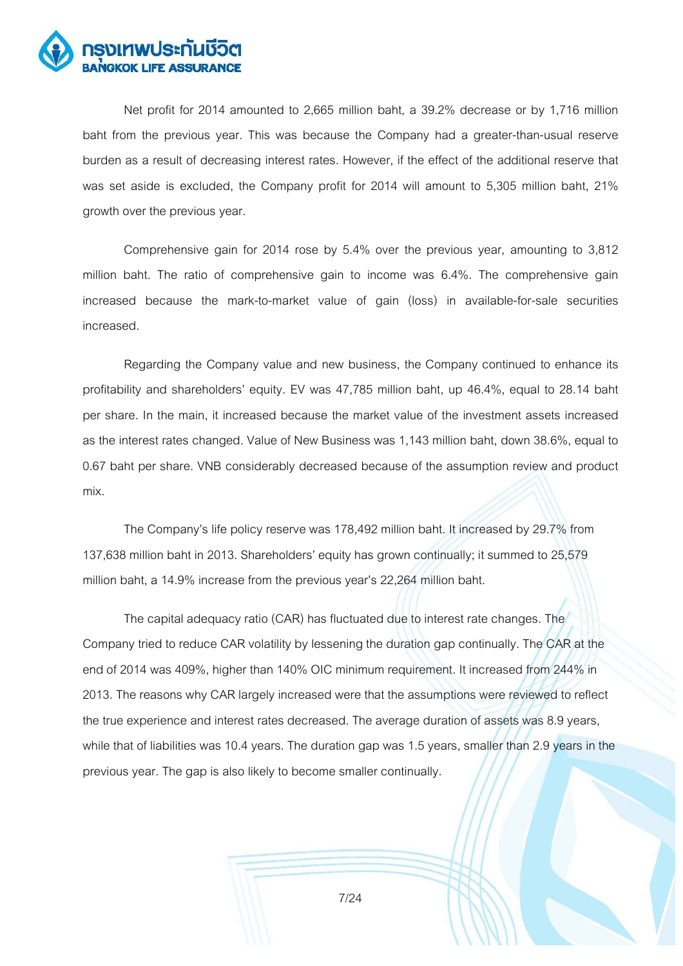

 Net profit for 2014 amounted to 2,665 million baht, a 39.2% decrease or by 1,716 million baht from the previous year. This was because the Company had a greater-than-usual reserve burden as a result of decreasing interest rates. However, if the effect of the additional reserve that was set aside is excluded, the Company profit for 2014 will amount to 5,305 million baht, 21% growth over the previous year.

 Comprehensive gain for 2014 rose by 5.4% over the previous year, amounting to 3,812 million baht. The ratio of comprehensive gain to income was 6.4%. The comprehensive gain increased because the mark-to-market value of gain (loss) in available-for-sale securities increased.

 Regarding the Company value and new business, the Company continued to enhance its profitability and shareholders' equity. EV was 47,785 million baht, up 46.4%, equal to 28.14 baht per share. In the main, it increased because the market value of the investment assets increased as the interest rates changed. Value of New Business was 1,143 million baht, down 38.6%, equal to 0.67 baht per share. VNB considerably decreased because of the assumption review and product mix.

The Company's life policy reserve was 178,492 million baht. It increased by 29.7% from 137,638 million baht in 2013. Shareholders' equity has grown continually; it summed to 25,579 million baht, a 14.9% increase from the previous year's 22,264 million baht.

The capital adequacy ratio (CAR) has fluctuated due to interest rate changes. The Company tried to reduce CAR volatility by lessening the duration gap continually. The CAR at the end of 2014 was 409%, higher than 140% OIC minimum requirement. It increased from 244% in 2013. The reasons why CAR largely increased were that the assumptions were reviewed to reflect the true experience and interest rates decreased. The average duration of assets was 8.9 years, while that of liabilities was 10.4 years. The duration gap was 1.5 years, smaller than 2.9 years in the previous year. The gap is also likely to become smaller continually.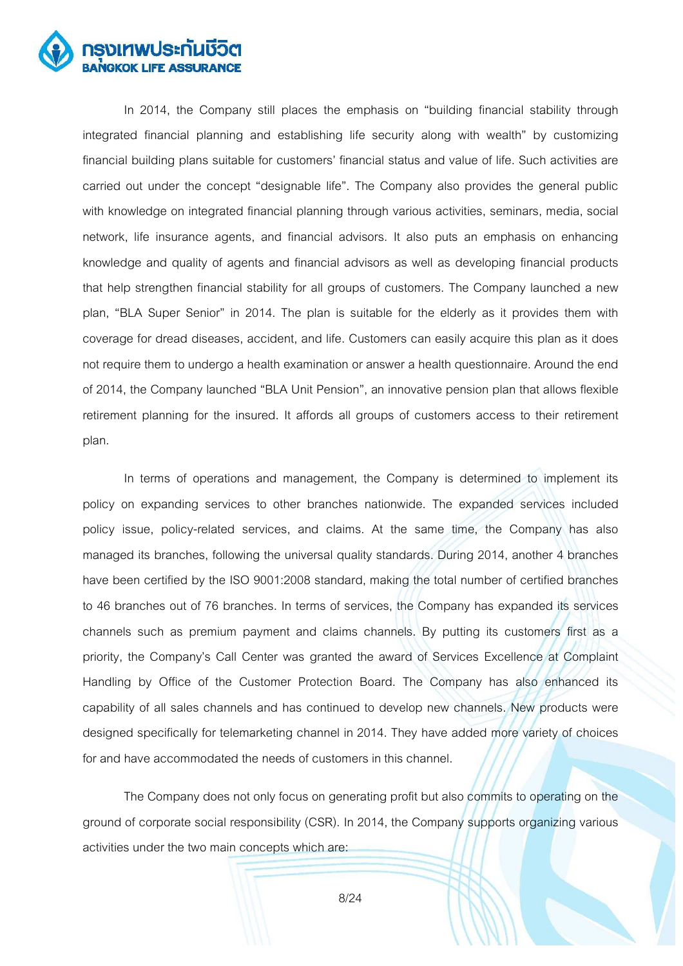

In 2014, the Company still places the emphasis on "building financial stability through integrated financial planning and establishing life security along with wealth" by customizing financial building plans suitable for customers' financial status and value of life. Such activities are carried out under the concept "designable life". The Company also provides the general public with knowledge on integrated financial planning through various activities, seminars, media, social network, life insurance agents, and financial advisors. It also puts an emphasis on enhancing knowledge and quality of agents and financial advisors as well as developing financial products that help strengthen financial stability for all groups of customers. The Company launched a new plan, "BLA Super Senior" in 2014. The plan is suitable for the elderly as it provides them with coverage for dread diseases, accident, and life. Customers can easily acquire this plan as it does not require them to undergo a health examination or answer a health questionnaire. Around the end of 2014, the Company launched "BLA Unit Pension", an innovative pension plan that allows flexible retirement planning for the insured. It affords all groups of customers access to their retirement plan.

In terms of operations and management, the Company is determined to implement its policy on expanding services to other branches nationwide. The expanded services included policy issue, policy-related services, and claims. At the same time, the Company has also managed its branches, following the universal quality standards. During 2014, another 4 branches have been certified by the ISO 9001:2008 standard, making the total number of certified branches to 46 branches out of 76 branches. In terms of services, the Company has expanded its services channels such as premium payment and claims channels. By putting its customers first as a priority, the Company's Call Center was granted the award of Services Excellence at Complaint Handling by Office of the Customer Protection Board. The Company has also enhanced its capability of all sales channels and has continued to develop new channels. New products were designed specifically for telemarketing channel in 2014. They have added more variety of choices for and have accommodated the needs of customers in this channel.

 The Company does not only focus on generating profit but also commits to operating on the ground of corporate social responsibility (CSR). In 2014, the Company supports organizing various activities under the two main concepts which are: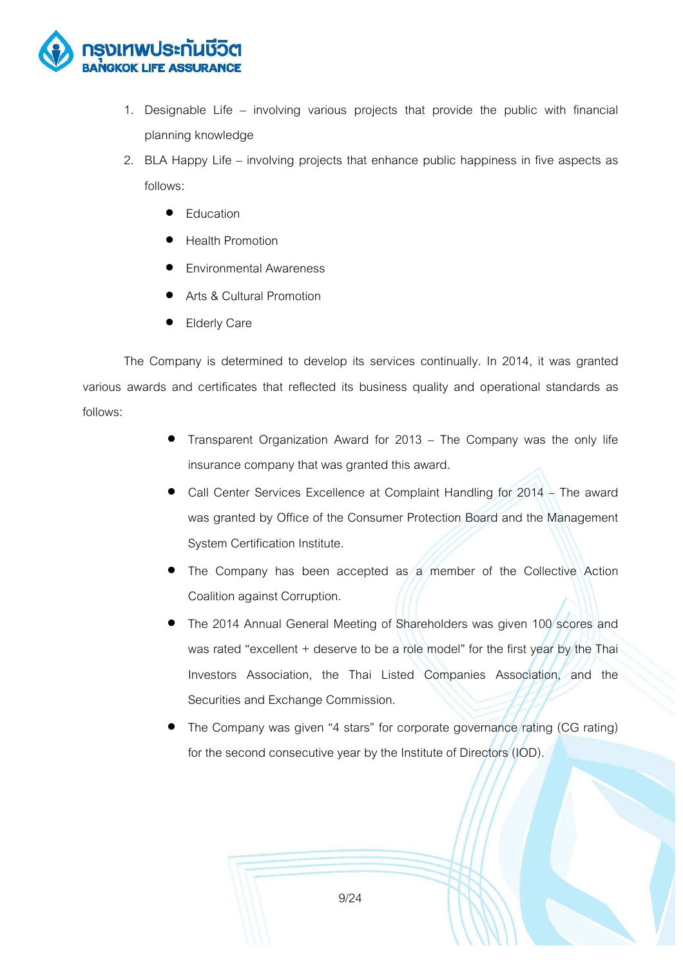

- 1. Designable Life  $-$  involving various projects that provide the public with financial planning knowledge
- 2. BLA Happy Life involving projects that enhance public happiness in five aspects as follows:
	- Education
	- Health Promotion
	- **•** Environmental Awareness
	- Arts & Cultural Promotion
	- **Elderly Care**

The Company is determined to develop its services continually. In 2014, it was granted various awards and certificates that reflected its business quality and operational standards as follows:

- Transparent Organization Award for  $2013$  The Company was the only life insurance company that was granted this award.
- Call Center Services Excellence at Complaint Handling for 2014 The award was granted by Office of the Consumer Protection Board and the Management System Certification Institute.
- The Company has been accepted as a member of the Collective Action Coalition against Corruption.
- The 2014 Annual General Meeting of Shareholders was given 100 scores and was rated "excellent  $+$  deserve to be a role model" for the first year by the Thai Investors Association, the Thai Listed Companies Association, and the Securities and Exchange Commission.
- The Company was given "4 stars" for corporate governance rating (CG rating) for the second consecutive year by the Institute of Directors (IOD).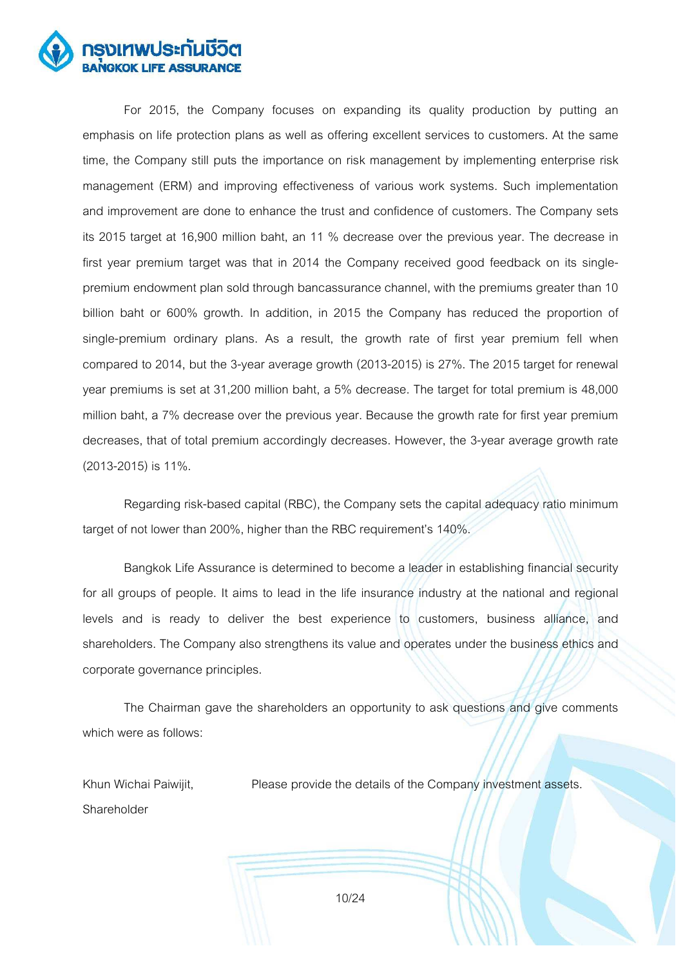

For 2015, the Company focuses on expanding its quality production by putting an emphasis on life protection plans as well as offering excellent services to customers. At the same time, the Company still puts the importance on risk management by implementing enterprise risk management (ERM) and improving effectiveness of various work systems. Such implementation and improvement are done to enhance the trust and confidence of customers. The Company sets its 2015 target at 16,900 million baht, an 11 % decrease over the previous year. The decrease in first year premium target was that in 2014 the Company received good feedback on its singlepremium endowment plan sold through bancassurance channel, with the premiums greater than 10 billion baht or 600% growth. In addition, in 2015 the Company has reduced the proportion of single-premium ordinary plans. As a result, the growth rate of first year premium fell when compared to 2014, but the 3-year average growth (2013-2015) is 27%. The 2015 target for renewal year premiums is set at 31,200 million baht, a 5% decrease. The target for total premium is 48,000 million baht, a 7% decrease over the previous year. Because the growth rate for first year premium decreases, that of total premium accordingly decreases. However, the 3-year average growth rate (2013-2015) is 11%.

Regarding risk-based capital (RBC), the Company sets the capital adequacy ratio minimum target of not lower than 200%, higher than the RBC requirement's 140%.

 Bangkok Life Assurance is determined to become a leader in establishing financial security for all groups of people. It aims to lead in the life insurance industry at the national and regional levels and is ready to deliver the best experience to customers, business alliance, and shareholders. The Company also strengthens its value and operates under the business ethics and corporate governance principles.

 The Chairman gave the shareholders an opportunity to ask questions and give comments which were as follows:

Khun Wichai Paiwijit, Shareholder Please provide the details of the Company investment assets.

10/24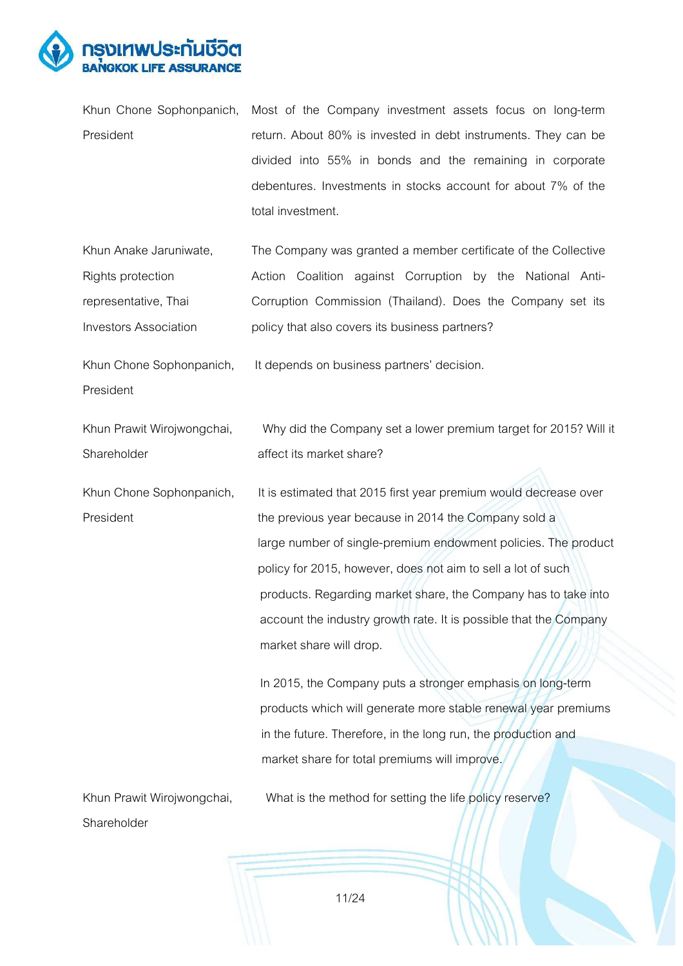

|           | Khun Chone Sophonpanich, Most of the Company investment assets focus on long-term |
|-----------|-----------------------------------------------------------------------------------|
| President | return. About 80% is invested in debt instruments. They can be                    |
|           | divided into 55% in bonds and the remaining in corporate                          |
|           | debentures. Investments in stocks account for about 7% of the                     |
|           | total investment.                                                                 |

Khun Anake Jaruniwate, Rights protection representative, Thai Investors Association The Company was granted a member certificate of the Collective Action Coalition against Corruption by the National Anti-Corruption Commission (Thailand). Does the Company set its policy that also covers its business partners?

It depends on business partners' decision.

Khun Chone Sophonpanich, President

Shareholder affect its market share?

Khun Prawit Wirojwongchai, Why did the Company set a lower premium target for 2015? Will it

Khun Chone Sophonpanich, It is estimated that 2015 first year premium would decrease over President **the previous year because in 2014 the Company sold a**  large number of single-premium endowment policies. The product policy for 2015, however, does not aim to sell a lot of such products. Regarding market share, the Company has to take into account the industry growth rate. It is possible that the Company market share will drop.

> In 2015, the Company puts a stronger emphasis on long-term products which will generate more stable renewal year premiums in the future. Therefore, in the long run, the production and market share for total premiums will improve.

Khun Prawit Wirojwongchai. What is the method for setting the life policy reserve? Shareholder

11/24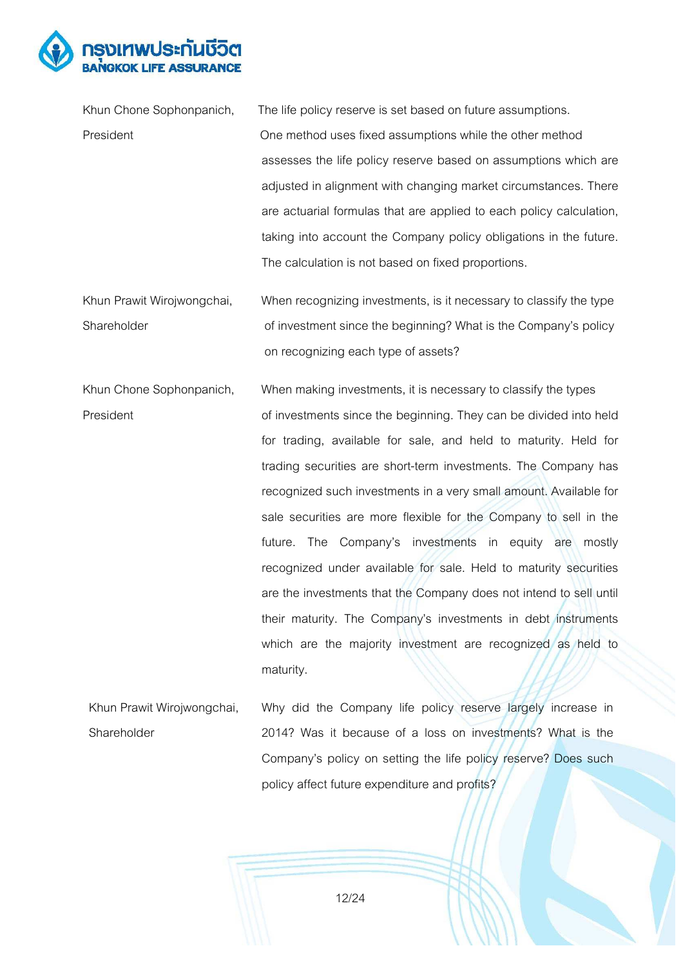

| Khun Chone Sophonpanich,   | The life policy reserve is set based on future assumptions.         |
|----------------------------|---------------------------------------------------------------------|
| President                  | One method uses fixed assumptions while the other method            |
|                            | assesses the life policy reserve based on assumptions which are     |
|                            | adjusted in alignment with changing market circumstances. There     |
|                            | are actuarial formulas that are applied to each policy calculation, |
|                            | taking into account the Company policy obligations in the future.   |
|                            | The calculation is not based on fixed proportions.                  |
| Khun Prawit Wirojwongchai, | When recognizing investments, is it necessary to classify the type  |
|                            |                                                                     |
| Shareholder                | of investment since the beginning? What is the Company's policy     |
|                            | on recognizing each type of assets?                                 |

Khun Chone Sophonpanich, When making investments, it is necessary to classify the types President **President** of investments since the beginning. They can be divided into held for trading, available for sale, and held to maturity. Held for trading securities are short-term investments. The Company has recognized such investments in a very small amount. Available for sale securities are more flexible for the Company to sell in the future. The Company's investments in equity are mostly recognized under available for sale. Held to maturity securities are the investments that the Company does not intend to sell until their maturity. The Company's investments in debt instruments which are the majority investment are recognized as held to maturity.

Khun Prawit Wirojwongchai, Shareholder Why did the Company life policy reserve largely increase in 2014? Was it because of a loss on investments? What is the Company's policy on setting the life policy reserve? Does such policy affect future expenditure and profits?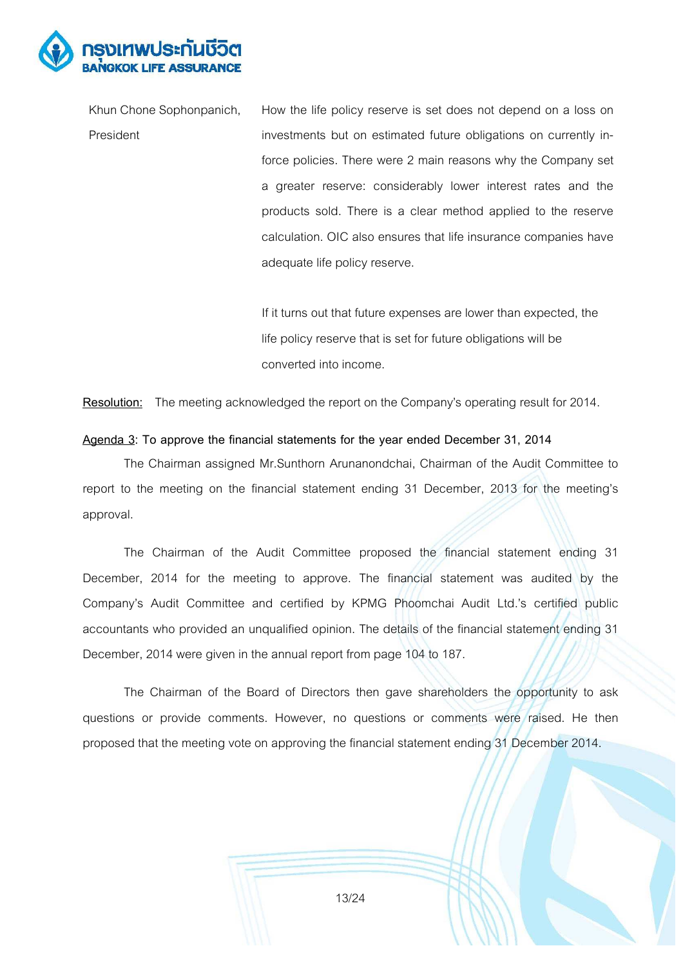

Khun Chone Sophonpanich, President How the life policy reserve is set does not depend on a loss on investments but on estimated future obligations on currently inforce policies. There were 2 main reasons why the Company set a greater reserve: considerably lower interest rates and the products sold. There is a clear method applied to the reserve calculation. OIC also ensures that life insurance companies have adequate life policy reserve.

> If it turns out that future expenses are lower than expected, the life policy reserve that is set for future obligations will be converted into income.

**Resolution:** The meeting acknowledged the report on the Company's operating result for 2014.

#### **Agenda 3: To approve the financial statements for the year ended December 31, 2014**

 The Chairman assigned Mr.Sunthorn Arunanondchai, Chairman of the Audit Committee to report to the meeting on the financial statement ending 31 December, 2013 for the meeting's approval.

 The Chairman of the Audit Committee proposed the financial statement ending 31 December, 2014 for the meeting to approve. The financial statement was audited by the Company's Audit Committee and certified by KPMG Phoomchai Audit Ltd.'s certified public accountants who provided an unqualified opinion. The details of the financial statement ending 31 December, 2014 were given in the annual report from page 104 to 187.

 The Chairman of the Board of Directors then gave shareholders the opportunity to ask questions or provide comments. However, no questions or comments were raised. He then proposed that the meeting vote on approving the financial statement ending 31 December 2014.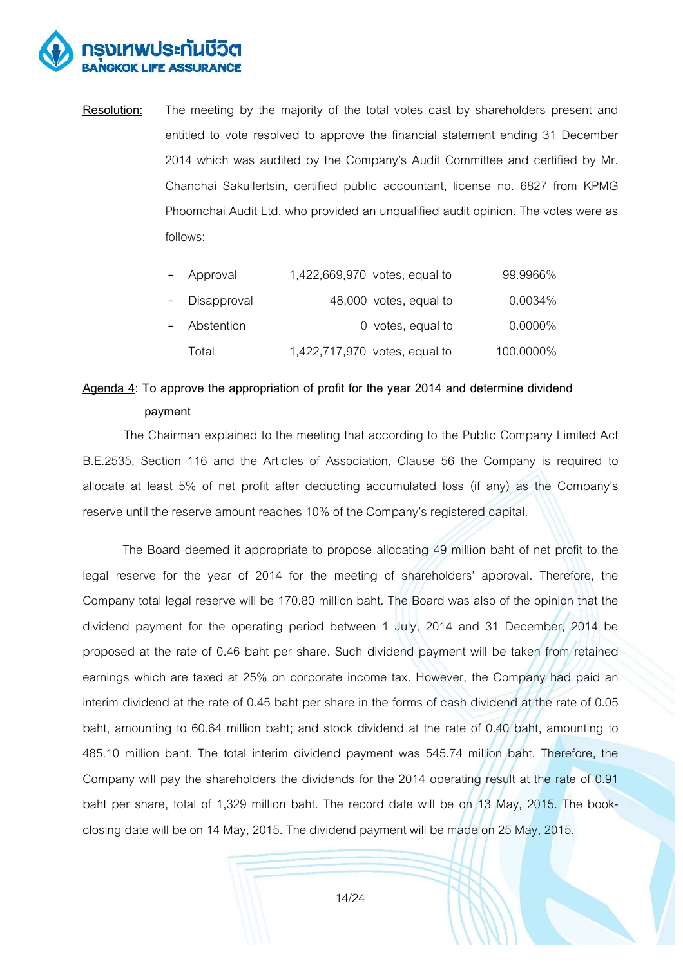

**Resolution:** The meeting by the majority of the total votes cast by shareholders present and entitled to vote resolved to approve the financial statement ending 31 December 2014 which was audited by the Company's Audit Committee and certified by Mr. Chanchai Sakullertsin, certified public accountant, license no. 6827 from KPMG Phoomchai Audit Ltd. who provided an unqualified audit opinion. The votes were as follows:

| $ \,$ | Approval      | 1,422,669,970 votes, equal to | 99.9966%   |
|-------|---------------|-------------------------------|------------|
|       | - Disapproval | 48,000 votes, equal to        | 0.0034%    |
|       | - Abstention  | 0 votes, equal to             | $0.0000\%$ |
|       | Total         | 1,422,717,970 votes, equal to | 100.0000%  |

# **Agenda 4: To approve the appropriation of profit for the year 2014 and determine dividend payment**

 The Chairman explained to the meeting that according to the Public Company Limited Act B.E.2535, Section 116 and the Articles of Association, Clause 56 the Company is required to allocate at least 5% of net profit after deducting accumulated loss (if any) as the Company's reserve until the reserve amount reaches 10% of the Company's registered capital.

 The Board deemed it appropriate to propose allocating 49 million baht of net profit to the legal reserve for the year of 2014 for the meeting of shareholders' approval. Therefore, the Company total legal reserve will be 170.80 million baht. The Board was also of the opinion that the dividend payment for the operating period between 1 July, 2014 and 31 December, 2014 be proposed at the rate of 0.46 baht per share. Such dividend payment will be taken from retained earnings which are taxed at 25% on corporate income tax. However, the Company had paid an interim dividend at the rate of 0.45 baht per share in the forms of cash dividend at the rate of 0.05 baht, amounting to 60.64 million baht; and stock dividend at the rate of 0.40 baht, amounting to 485.10 million baht. The total interim dividend payment was 545.74 million baht. Therefore, the Company will pay the shareholders the dividends for the 2014 operating result at the rate of 0.91 baht per share, total of 1,329 million baht. The record date will be on 13 May, 2015. The bookclosing date will be on 14 May, 2015. The dividend payment will be made on 25 May, 2015.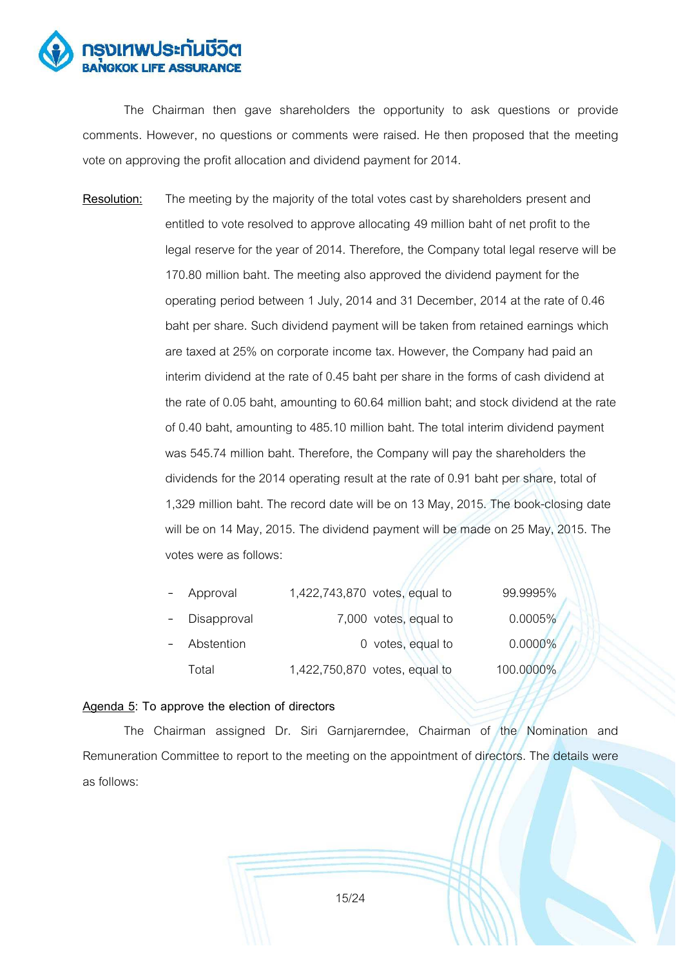

 The Chairman then gave shareholders the opportunity to ask questions or provide comments. However, no questions or comments were raised. He then proposed that the meeting vote on approving the profit allocation and dividend payment for 2014.

**Resolution:** The meeting by the majority of the total votes cast by shareholders present and entitled to vote resolved to approve allocating 49 million baht of net profit to the legal reserve for the year of 2014. Therefore, the Company total legal reserve will be 170.80 million baht. The meeting also approved the dividend payment for the operating period between 1 July, 2014 and 31 December, 2014 at the rate of 0.46 baht per share. Such dividend payment will be taken from retained earnings which are taxed at 25% on corporate income tax. However, the Company had paid an interim dividend at the rate of 0.45 baht per share in the forms of cash dividend at the rate of 0.05 baht, amounting to 60.64 million baht; and stock dividend at the rate of 0.40 baht, amounting to 485.10 million baht. The total interim dividend payment was 545.74 million baht. Therefore, the Company will pay the shareholders the dividends for the 2014 operating result at the rate of 0.91 baht per share, total of 1,329 million baht. The record date will be on 13 May, 2015. The book-closing date will be on 14 May, 2015. The dividend payment will be made on 25 May, 2015. The votes were as follows:

| $\overline{\phantom{0}}$ | Approval    | 1,422,743,870 votes, equal to | 99.9995%   |
|--------------------------|-------------|-------------------------------|------------|
| $\overline{\phantom{0}}$ | Disapproval | 7,000 votes, equal to         | 0.0005%    |
| $\overline{\phantom{0}}$ | Abstention  | 0 votes, equal to             | $0.0000\%$ |
|                          | Total       | 1,422,750,870 votes, equal to | 100.0000%  |

#### **Agenda 5: To approve the election of directors**

 The Chairman assigned Dr. Siri Garnjarerndee, Chairman of the Nomination and Remuneration Committee to report to the meeting on the appointment of directors. The details were as follows: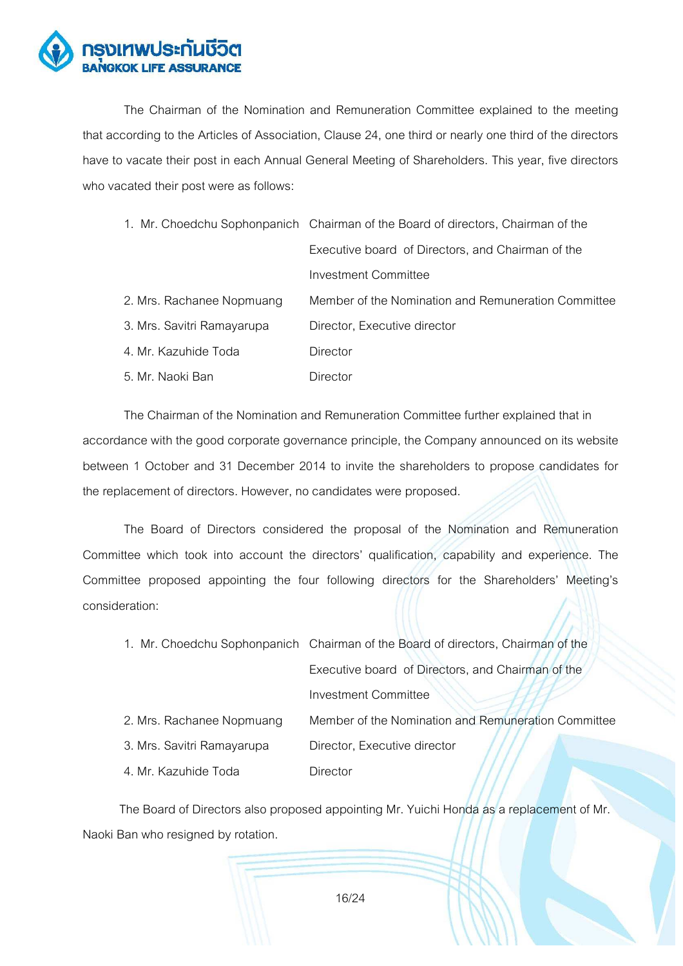

 The Chairman of the Nomination and Remuneration Committee explained to the meeting that according to the Articles of Association, Clause 24, one third or nearly one third of the directors have to vacate their post in each Annual General Meeting of Shareholders. This year, five directors who vacated their post were as follows:

|                            | 1. Mr. Choedchu Sophonpanich Chairman of the Board of directors, Chairman of the |  |  |  |
|----------------------------|----------------------------------------------------------------------------------|--|--|--|
|                            | Executive board of Directors, and Chairman of the                                |  |  |  |
|                            | Investment Committee                                                             |  |  |  |
| 2. Mrs. Rachanee Nopmuang  | Member of the Nomination and Remuneration Committee                              |  |  |  |
| 3. Mrs. Savitri Ramayarupa | Director, Executive director                                                     |  |  |  |
| 4. Mr. Kazuhide Toda       | Director                                                                         |  |  |  |
| 5. Mr. Naoki Ban           | Director                                                                         |  |  |  |

The Chairman of the Nomination and Remuneration Committee further explained that in accordance with the good corporate governance principle, the Company announced on its website between 1 October and 31 December 2014 to invite the shareholders to propose candidates for the replacement of directors. However, no candidates were proposed.

 The Board of Directors considered the proposal of the Nomination and Remuneration Committee which took into account the directors' qualification, capability and experience. The Committee proposed appointing the four following directors for the Shareholders' Meeting's consideration:

|                            | 1. Mr. Choedchu Sophonpanich Chairman of the Board of directors, Chairman of the |
|----------------------------|----------------------------------------------------------------------------------|
|                            | Executive board of Directors, and Chairman of the                                |
|                            | <b>Investment Committee</b>                                                      |
| 2. Mrs. Rachanee Nopmuang  | Member of the Nomination and Remuneration Committee                              |
| 3. Mrs. Savitri Ramayarupa | Director, Executive director                                                     |
| 4. Mr. Kazuhide Toda       | Director                                                                         |

 The Board of Directors also proposed appointing Mr. Yuichi Honda as a replacement of Mr. Naoki Ban who resigned by rotation.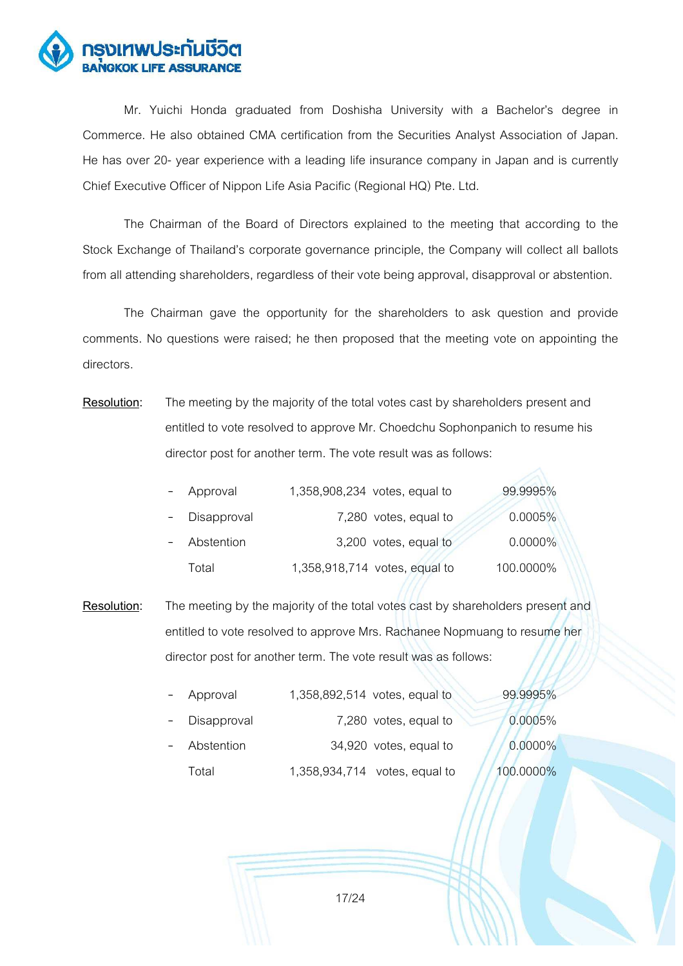

Mr. Yuichi Honda graduated from Doshisha University with a Bachelor's degree in Commerce. He also obtained CMA certification from the Securities Analyst Association of Japan. He has over 20- year experience with a leading life insurance company in Japan and is currently Chief Executive Officer of Nippon Life Asia Pacific (Regional HQ) Pte. Ltd.

 The Chairman of the Board of Directors explained to the meeting that according to the Stock Exchange of Thailand's corporate governance principle, the Company will collect all ballots from all attending shareholders, regardless of their vote being approval, disapproval or abstention.

 The Chairman gave the opportunity for the shareholders to ask question and provide comments. No questions were raised; he then proposed that the meeting vote on appointing the directors.

**Resolution:** The meeting by the majority of the total votes cast by shareholders present and entitled to vote resolved to approve Mr. Choedchu Sophonpanich to resume his director post for another term. The vote result was as follows:

| $ \,$ | Approval      | 1,358,908,234 votes, equal to | 99.9995%   |  |
|-------|---------------|-------------------------------|------------|--|
|       | - Disapproval | 7,280 votes, equal to         | 0.0005%    |  |
|       | - Abstention  | 3,200 votes, equal to         | $0.0000\%$ |  |
|       | Total         | 1,358,918,714 votes, equal to | 100.0000%  |  |

**Resolution:** The meeting by the majority of the total votes cast by shareholders present and entitled to vote resolved to approve Mrs. Rachanee Nopmuang to resume her director post for another term. The vote result was as follows:

| Approval    | 1,358,892,514 votes, equal to | 99.9995%  |
|-------------|-------------------------------|-----------|
| Disapproval | 7,280 votes, equal to         | 0.0005%   |
| Abstention  | 34,920 votes, equal to        | 0.0000%   |
| Total       | 1,358,934,714 votes, equal to | 100.0000% |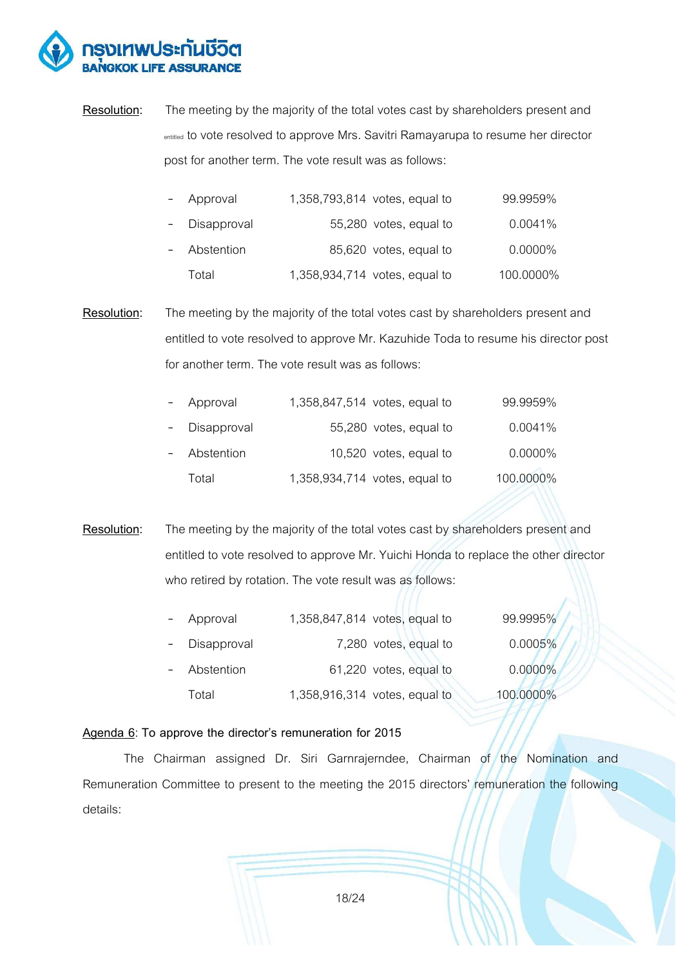

**Resolution:** The meeting by the majority of the total votes cast by shareholders present and entitled to vote resolved to approve Mrs. Savitri Ramayarupa to resume her director post for another term. The vote result was as follows:

| - Approval    | 1,358,793,814 votes, equal to | 99.9959%   |
|---------------|-------------------------------|------------|
| - Disapproval | 55,280 votes, equal to        | 0.0041%    |
| Abstention    | 85,620 votes, equal to        | $0.0000\%$ |
| Total         | 1,358,934,714 votes, equal to | 100.0000%  |

**Resolution:** The meeting by the majority of the total votes cast by shareholders present and entitled to vote resolved to approve Mr. Kazuhide Toda to resume his director post for another term. The vote result was as follows:

| - Approval    | 1,358,847,514 votes, equal to | 99.9959%   |
|---------------|-------------------------------|------------|
| - Disapproval | 55,280 votes, equal to        | 0.0041%    |
| - Abstention  | 10,520 votes, equal to        | $0.0000\%$ |
| Total         | 1,358,934,714 votes, equal to | 100.0000%  |

**Resolution:** The meeting by the majority of the total votes cast by shareholders present and entitled to vote resolved to approve Mr. Yuichi Honda to replace the other director who retired by rotation. The vote result was as follows:

| $\overline{\phantom{0}}$ | Approval    | 1,358,847,814 votes, equal to | 99.9995%   |  |
|--------------------------|-------------|-------------------------------|------------|--|
|                          | Disapproval | 7,280 votes, equal to         | 0.0005%    |  |
| $\overline{\phantom{0}}$ | Abstention  | 61,220 votes, equal to        | $0.0000\%$ |  |
|                          | Total       | 1,358,916,314 votes, equal to | 100.0000%  |  |

#### Agenda 6: To approve the director's remuneration for 2015

 The Chairman assigned Dr. Siri Garnrajerndee, Chairman of the Nomination and Remuneration Committee to present to the meeting the 2015 directors' remuneration the following details: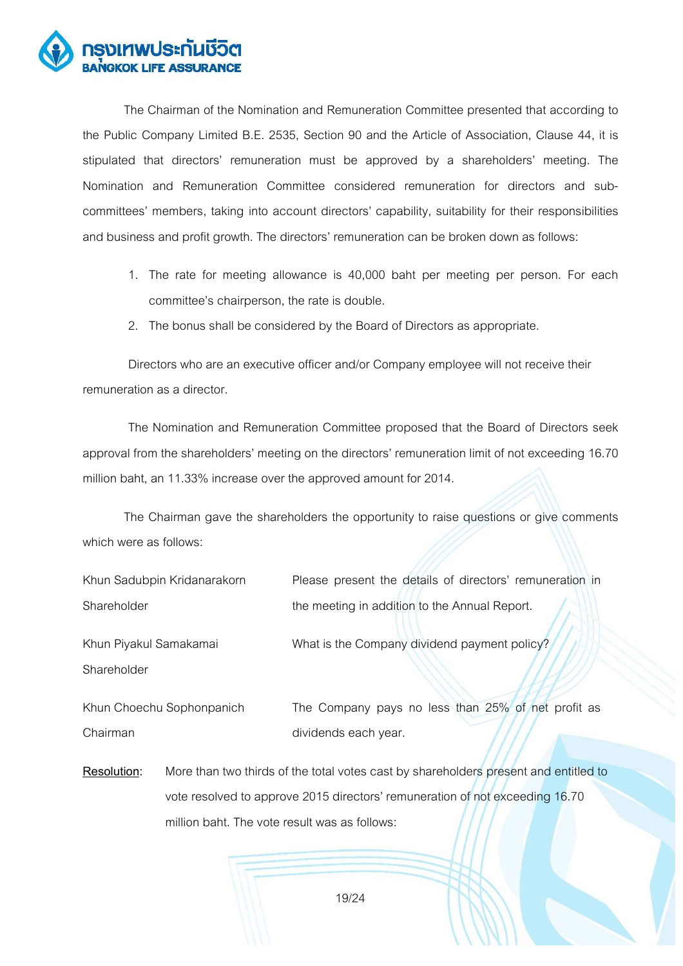

 The Chairman of the Nomination and Remuneration Committee presented that according to the Public Company Limited B.E. 2535, Section 90 and the Article of Association, Clause 44, it is stipulated that directors' remuneration must be approved by a shareholders' meeting. The Nomination and Remuneration Committee considered remuneration for directors and subcommittees' members, taking into account directors' capability, suitability for their responsibilities and business and profit growth. The directors' remuneration can be broken down as follows:

- 1. The rate for meeting allowance is 40,000 baht per meeting per person. For each committee's chairperson, the rate is double.
- 2. The bonus shall be considered by the Board of Directors as appropriate.

Directors who are an executive officer and/or Company employee will not receive their remuneration as a director.

The Nomination and Remuneration Committee proposed that the Board of Directors seek approval from the shareholders' meeting on the directors' remuneration limit of not exceeding 16.70 million baht, an 11.33% increase over the approved amount for 2014.

The Chairman gave the shareholders the opportunity to raise questions or give comments which were as follows:

| Khun Sadubpin Kridanarakorn | Please present the details of directors' remuneration in |
|-----------------------------|----------------------------------------------------------|
| Shareholder                 | the meeting in addition to the Annual Report.            |
| Khun Piyakul Samakamai      | What is the Company dividend payment policy?             |
| Shareholder                 |                                                          |
| Khun Choechu Sophonpanich   | The Company pays no less than 25% of net profit as       |
| Chairman                    | dividends each year.                                     |

**Resolution:** More than two thirds of the total votes cast by shareholders present and entitled to vote resolved to approve 2015 directors' remuneration of not exceeding 16.70 million baht. The vote result was as follows: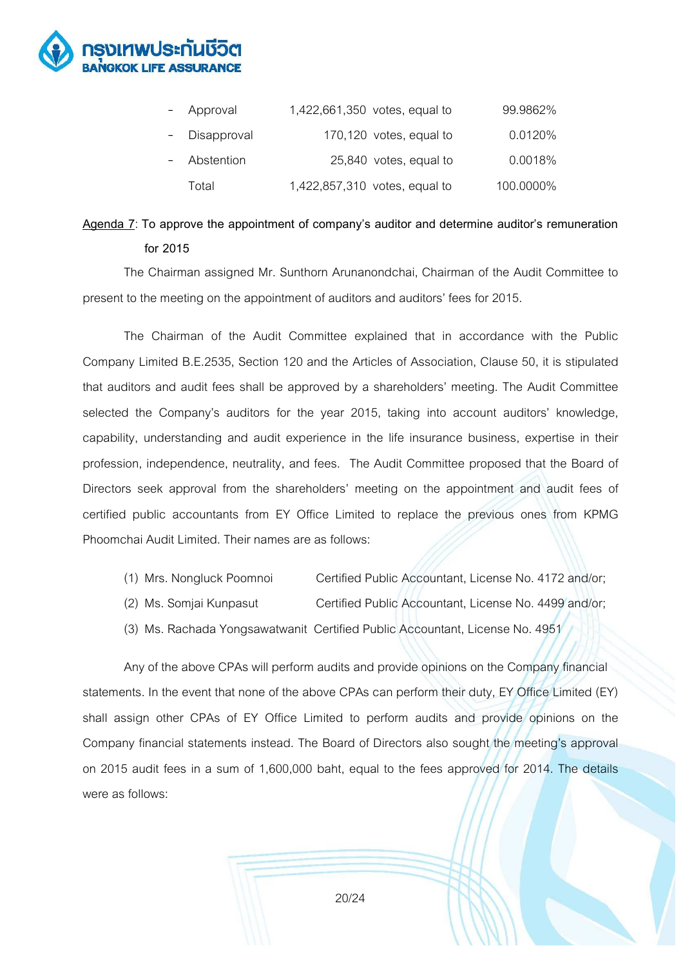

| $\sim$ | Approval      | 1,422,661,350 votes, equal to | 99.9862%  |
|--------|---------------|-------------------------------|-----------|
|        | - Disapproval | 170,120 votes, equal to       | 0.0120%   |
| $\sim$ | Abstention    | 25,840 votes, equal to        | 0.0018%   |
|        | Total         | 1,422,857,310 votes, equal to | 100.0000% |

# Agenda 7: To approve the appointment of company's auditor and determine auditor's remuneration  **for 2015**

 The Chairman assigned Mr. Sunthorn Arunanondchai, Chairman of the Audit Committee to present to the meeting on the appointment of auditors and auditors' fees for 2015.

The Chairman of the Audit Committee explained that in accordance with the Public Company Limited B.E.2535, Section 120 and the Articles of Association, Clause 50, it is stipulated that auditors and audit fees shall be approved by a shareholders' meeting. The Audit Committee selected the Company's auditors for the year 2015, taking into account auditors' knowledge, capability, understanding and audit experience in the life insurance business, expertise in their profession, independence, neutrality, and fees. The Audit Committee proposed that the Board of Directors seek approval from the shareholders' meeting on the appointment and audit fees of certified public accountants from EY Office Limited to replace the previous ones from KPMG Phoomchai Audit Limited. Their names are as follows:

- (1) Mrs. Nongluck Poomnoi Certified Public Accountant, License No. 4172 and/or;
- (2) Ms. Somjai Kunpasut Certified Public Accountant, License No. 4499 and/or;
- (3) Ms. Rachada Yongsawatwanit Certified Public Accountant, License No. 4951

Any of the above CPAs will perform audits and provide opinions on the Company financial statements. In the event that none of the above CPAs can perform their duty, EY Office Limited (EY) shall assign other CPAs of EY Office Limited to perform audits and provide opinions on the Company financial statements instead. The Board of Directors also sought the meeting's approval on 2015 audit fees in a sum of 1,600,000 baht, equal to the fees approved for 2014. The details were as follows: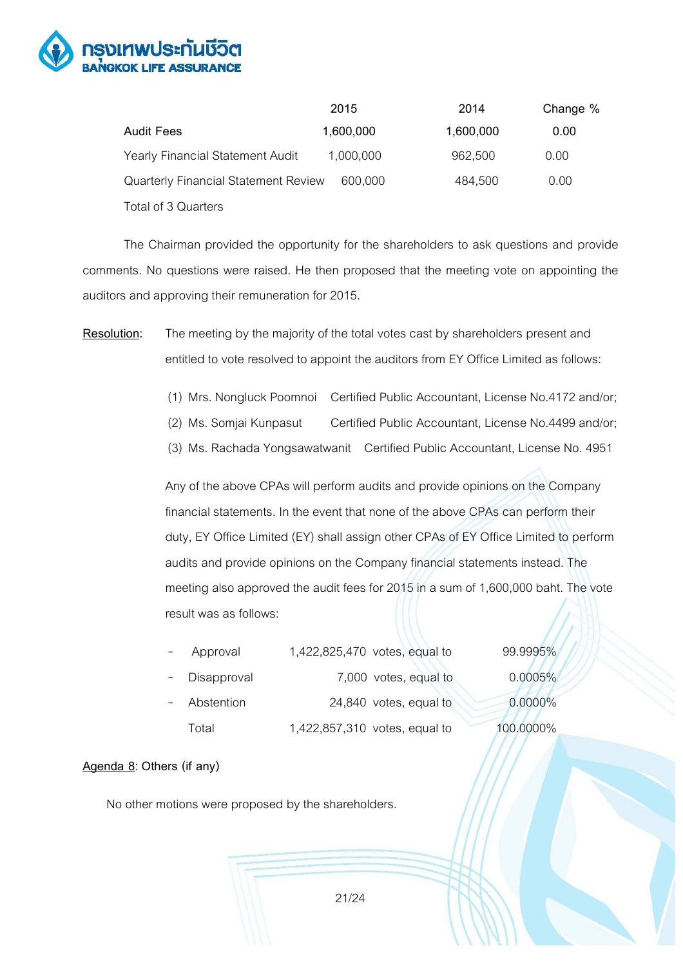

|                                             | 2015      | 2014      | Change % |
|---------------------------------------------|-----------|-----------|----------|
| Audit Fees                                  | 1,600,000 | 1,600,000 | 0.00     |
| Yearly Financial Statement Audit            | 1,000,000 | 962,500   | 0.00     |
| <b>Quarterly Financial Statement Review</b> | 600,000   | 484,500   | 0.00     |
| Total of 3 Quarters                         |           |           |          |

The Chairman provided the opportunity for the shareholders to ask questions and provide comments. No questions were raised. He then proposed that the meeting vote on appointing the auditors and approving their remuneration for 2015.

**Resolution:** The meeting by the majority of the total votes cast by shareholders present and entitled to vote resolved to appoint the auditors from EY Office Limited as follows:

- (1) Mrs. Nongluck Poomnoi Certified Public Accountant, License No.4172 and/or;
- (2) Ms. Somjai Kunpasut Certified Public Accountant, License No.4499 and/or;
- (3) Ms. Rachada Yongsawatwanit Certified Public Accountant, License No. 4951

Any of the above CPAs will perform audits and provide opinions on the Company financial statements. In the event that none of the above CPAs can perform their duty, EY Office Limited (EY) shall assign other CPAs of EY Office Limited to perform audits and provide opinions on the Company financial statements instead. The meeting also approved the audit fees for 2015 in a sum of 1,600,000 baht. The vote result was as follows:

|                | Approval    | 1,422,825,470 votes, equal to | 99.9995%  |
|----------------|-------------|-------------------------------|-----------|
|                | Disapproval | 7,000 votes, equal to         | 0.0005%   |
| $\overline{a}$ | Abstention  | 24,840 votes, equal to        | 0.0000%   |
|                | Total       | 1,422,857,310 votes, equal to | 100.0000% |

#### **Agenda 8**: **Others (if any)**

No other motions were proposed by the shareholders.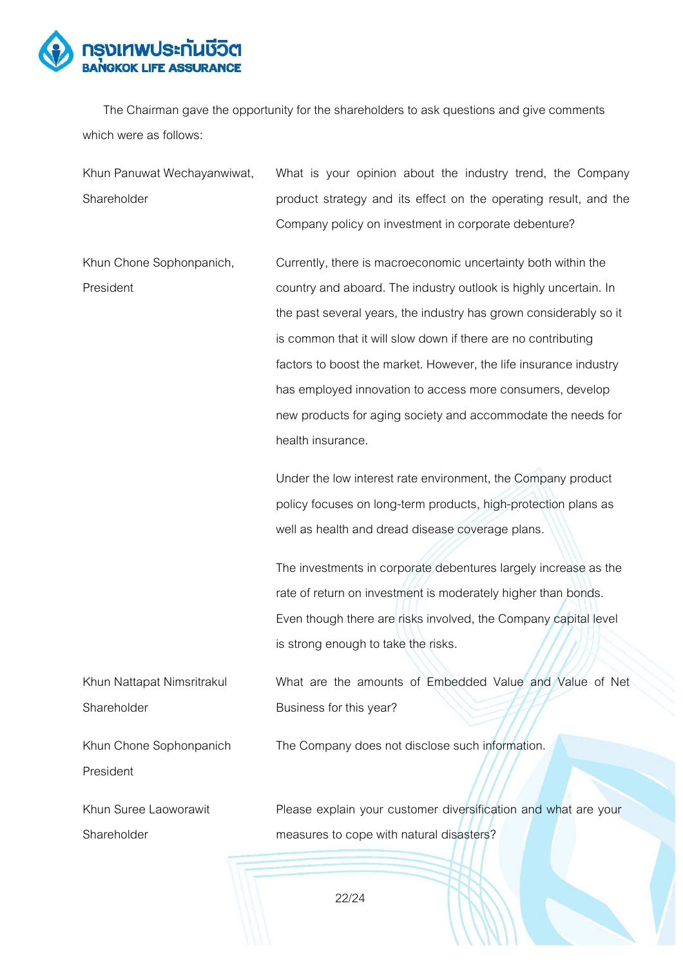

The Chairman gave the opportunity for the shareholders to ask questions and give comments which were as follows:

| Khun Panuwat Wechayanwiwat, | What is your opinion about the industry trend, the Company        |
|-----------------------------|-------------------------------------------------------------------|
| Shareholder                 | product strategy and its effect on the operating result, and the  |
|                             | Company policy on investment in corporate debenture?              |
| Khun Chone Sophonpanich,    | Currently, there is macroeconomic uncertainty both within the     |
| President                   | country and aboard. The industry outlook is highly uncertain. In  |
|                             | the past several years, the industry has grown considerably so it |
|                             | is common that it will slow down if there are no contributing     |
|                             | factors to boost the market. However, the life insurance industry |
|                             | has employed innovation to access more consumers, develop         |
|                             | new products for aging society and accommodate the needs for      |
|                             | health insurance.                                                 |
|                             | Under the low interest rate environment, the Company product      |
|                             | policy focuses on long-term products, high-protection plans as    |
|                             | well as health and dread disease coverage plans.                  |
|                             | The investments in corporate debentures largely increase as the   |
|                             | rate of return on investment is moderately higher than bonds.     |
|                             | Even though there are risks involved, the Company capital level   |
|                             | is strong enough to take the risks.                               |
| Khun Nattapat Nimsritrakul  | What are the amounts of Embedded Value and Value of Net           |
| Shareholder                 | Business for this year?                                           |
| Khun Chone Sophonpanich     | The Company does not disclose such information.                   |
| President                   |                                                                   |
| Khun Suree Laoworawit       | Please explain your customer diversification and what are your    |
| Shareholder                 | measures to cope with natural disasters?                          |
|                             |                                                                   |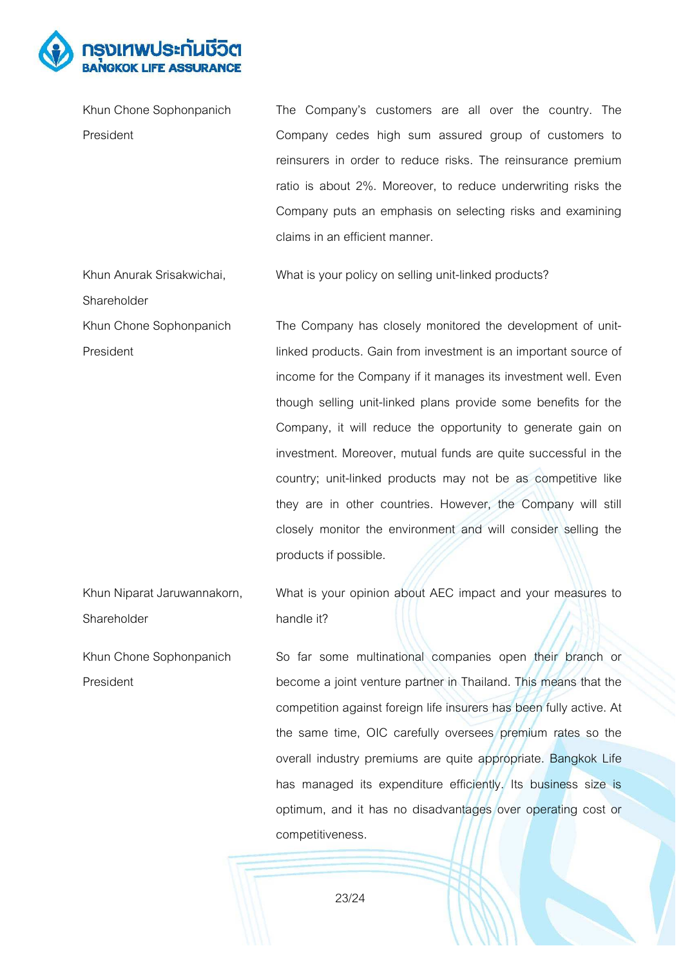

| Khun Chone Sophonpanich     | The Company's customers are all over the country. The           |
|-----------------------------|-----------------------------------------------------------------|
| President                   | Company cedes high sum assured group of customers to            |
|                             | reinsurers in order to reduce risks. The reinsurance premium    |
|                             | ratio is about 2%. Moreover, to reduce underwriting risks the   |
|                             | Company puts an emphasis on selecting risks and examining       |
|                             | claims in an efficient manner.                                  |
| Khun Anurak Srisakwichai,   | What is your policy on selling unit-linked products?            |
| Shareholder                 |                                                                 |
| Khun Chone Sophonpanich     | The Company has closely monitored the development of unit-      |
| President                   | linked products. Gain from investment is an important source of |
|                             | income for the Company if it manages its investment well. Even  |
|                             | though selling unit-linked plans provide some benefits for the  |
|                             | Company, it will reduce the opportunity to generate gain on     |
|                             | investment. Moreover, mutual funds are quite successful in the  |
|                             | country; unit-linked products may not be as competitive like    |
|                             | they are in other countries. However, the Company will still    |
|                             | closely monitor the environment and will consider selling the   |
|                             | products if possible.                                           |
| Khun Niparat Jaruwannakorn, | What is your opinion about AEC impact and your measures to      |
| Shareholder                 | handle it?                                                      |

Khun Chone Sophonpanich President So far some multinational companies open their branch or become a joint venture partner in Thailand. This means that the competition against foreign life insurers has been fully active. At the same time, OIC carefully oversees premium rates so the overall industry premiums are quite appropriate. Bangkok Life has managed its expenditure efficiently. Its business size is optimum, and it has no disadvantages over operating cost or competitiveness.